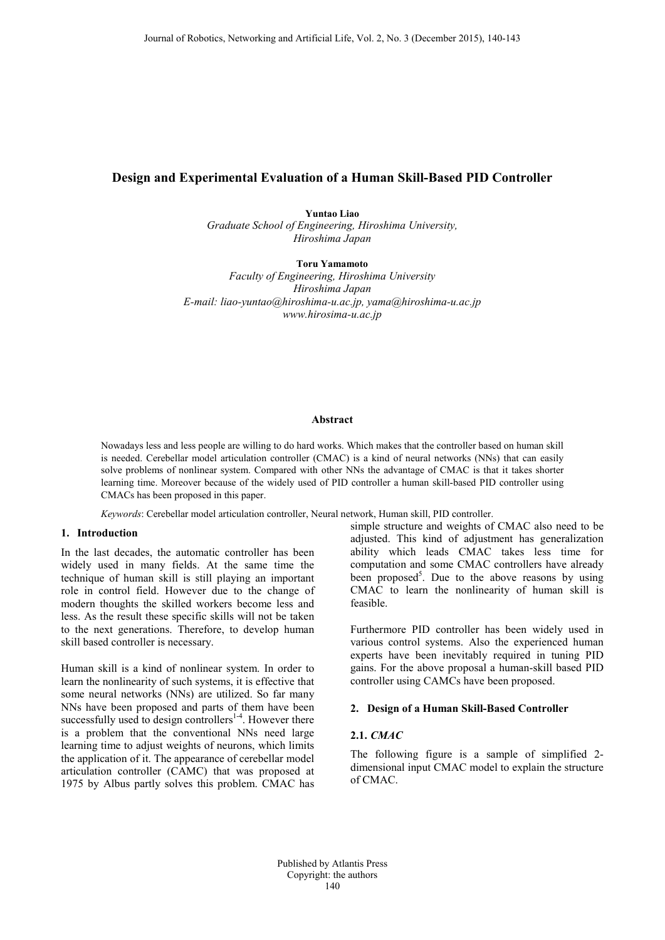# **Design and Experimental Evaluation of a Human Skill-Based PID Controller**

**Yuntao Liao** *Graduate School of Engineering, Hiroshima University, Hiroshima Japan* 

**Toru Yamamoto** *Faculty of Engineering, Hiroshima University Hiroshima Japan E-mail: liao-yuntao@hiroshima-u.ac.jp, yama@hiroshima-u.ac.jp www.hirosima-u.ac.jp*

### **Abstract**

Nowadays less and less people are willing to do hard works. Which makes that the controller based on human skill is needed. Cerebellar model articulation controller (CMAC) is a kind of neural networks (NNs) that can easily solve problems of nonlinear system. Compared with other NNs the advantage of CMAC is that it takes shorter learning time. Moreover because of the widely used of PID controller a human skill-based PID controller using CMACs has been proposed in this paper.

*Keywords*: Cerebellar model articulation controller, Neural network, Human skill, PID controller.

### **1. Introduction**

In the last decades, the automatic controller has been widely used in many fields. At the same time the technique of human skill is still playing an important role in control field. However due to the change of modern thoughts the skilled workers become less and less. As the result these specific skills will not be taken to the next generations. Therefore, to develop human skill based controller is necessary.

Human skill is a kind of nonlinear system. In order to learn the nonlinearity of such systems, it is effective that some neural networks (NNs) are utilized. So far many NNs have been proposed and parts of them have been successfully used to design controllers<sup>1-4</sup>. However there is a problem that the conventional NNs need large learning time to adjust weights of neurons, which limits the application of it. The appearance of cerebellar model articulation controller (CAMC) that was proposed at 1975 by Albus partly solves this problem. CMAC has

simple structure and weights of CMAC also need to be adjusted. This kind of adjustment has generalization ability which leads CMAC takes less time for computation and some CMAC controllers have already been proposed<sup>5</sup>. Due to the above reasons by using CMAC to learn the nonlinearity of human skill is feasible.

Furthermore PID controller has been widely used in various control systems. Also the experienced human experts have been inevitably required in tuning PID gains. For the above proposal a human-skill based PID controller using CAMCs have been proposed.

#### **2. Design of a Human Skill-Based Controller**

#### **2.1.** *CMAC*

The following figure is a sample of simplified 2 dimensional input CMAC model to explain the structure of CMAC.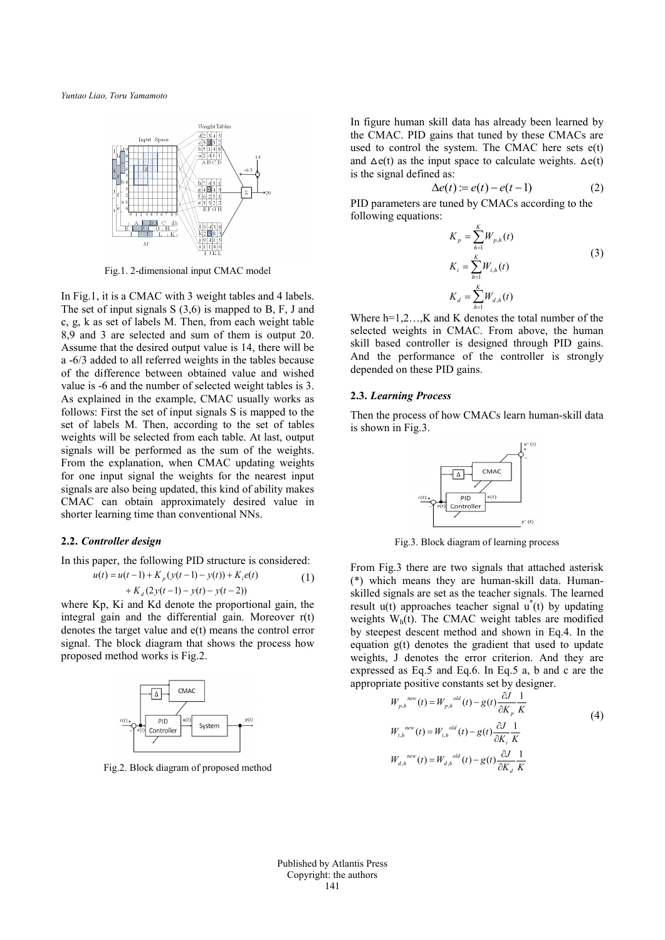*Yuntao Liao, Toru Yamamoto*



Fig.1. 2-dimensional input CMAC model

In Fig.1, it is a CMAC with 3 weight tables and 4 labels. The set of input signals S (3,6) is mapped to B, F, J and c, g, k as set of labels M. Then, from each weight table 8,9 and 3 are selected and sum of them is output 20. Assume that the desired output value is 14, there will be a -6/3 added to all referred weights in the tables because of the difference between obtained value and wished value is -6 and the number of selected weight tables is 3. As explained in the example, CMAC usually works as follows: First the set of input signals S is mapped to the set of labels M. Then, according to the set of tables weights will be selected from each table. At last, output signals will be performed as the sum of the weights. From the explanation, when CMAC updating weights for one input signal the weights for the nearest input signals are also being updated, this kind of ability makes CMAC can obtain approximately desired value in shorter learning time than conventional NNs.

#### **2.2.** *Controller design*

In this paper, the following PID structure is considered:<br> $\frac{1}{2}$ 

$$
u(t) = u(t-1) + K_p(y(t-1) - y(t)) + K_i e(t)
$$
  
+ K<sub>d</sub> (2y(t-1) - y(t) - y(t-2))

 integral gain and the differential gain. Moreover r(t) where Kp, Ki and Kd denote the proportional gain, the denotes the target value and e(t) means the control error signal. The block diagram that shows the process how proposed method works is Fig.2.



Fig.2. Block diagram of proposed method

In figure human skill data has already been learned by the CMAC. PID gains that tuned by these CMACs are used to control the system. The CMAC here sets e(t) and  $\Delta e(t)$  as the input space to calculate weights.  $\Delta e(t)$ is the signal defined as:

$$
\Delta e(t) := e(t) - e(t-1) \tag{2}
$$

PID parameters are tuned by CMACs according to the following equations:

$$
K_{p} = \sum_{h=1}^{K} W_{p,h}(t)
$$
  
\n
$$
K_{i} = \sum_{h=1}^{K} W_{i,h}(t)
$$
  
\n
$$
K_{d} = \sum_{h=1}^{K} W_{d,h}(t)
$$
\n(3)

Where  $h=1,2...$ , K and K denotes the total number of the selected weights in CMAC. From above, the human skill based controller is designed through PID gains. And the performance of the controller is strongly depended on these PID gains.

#### **2.3.** *Learning Process*

Then the process of how CMACs learn human-skill data is shown in Fig.3.



Fig.3. Block diagram of learning process

From Fig.3 there are two signals that attached asterisk (\*) which means they are human-skill data. Humanskilled signals are set as the teacher signals. The learned result  $u(t)$  approaches teacher signal  $u^*(t)$  by updating weights  $W<sub>h</sub>(t)$ . The CMAC weight tables are modified by steepest descent method and shown in Eq.4. In the equation g(t) denotes the gradient that used to update weights, J denotes the error criterion. And they are expressed as Eq.5 and Eq.6. In Eq.5 a, b and c are the appropriate positive constants set by designer.

$$
W_{p,h}^{new}(t) = W_{p,h}^{old}(t) - g(t) \frac{\partial J}{\partial K_p} \frac{1}{K}
$$
  
\n
$$
W_{i,h}^{new}(t) = W_{i,h}^{old}(t) - g(t) \frac{\partial J}{\partial K_i} \frac{1}{K}
$$
  
\n
$$
W_{d,h}^{new}(t) = W_{d,h}^{old}(t) - g(t) \frac{\partial J}{\partial K_d} \frac{1}{K}
$$
 (4)

Published by Atlantis Press Copyright: the authors 141

(1)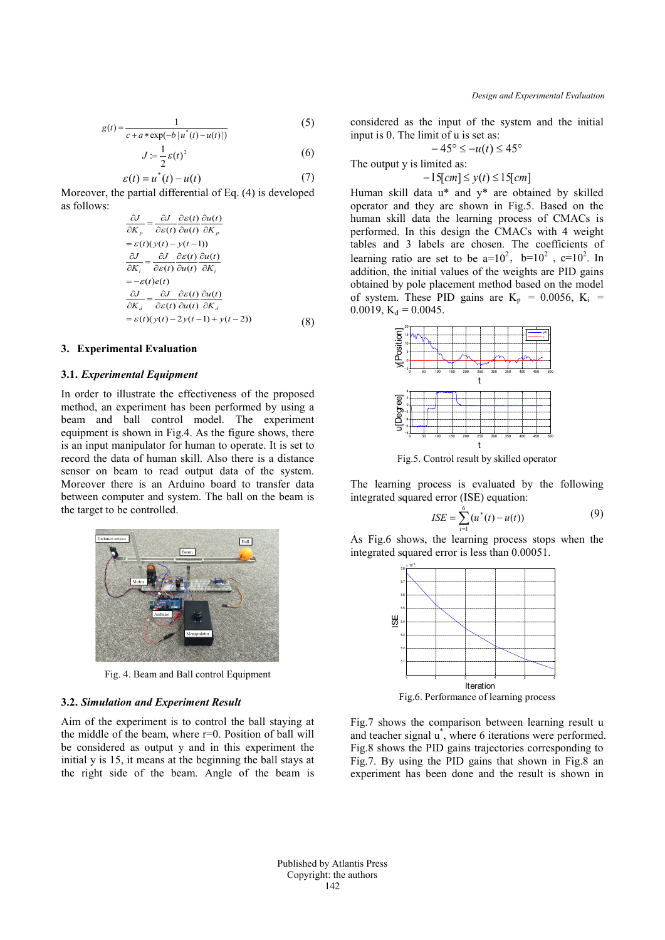$$
g(t) = \frac{1}{c + a * \exp(-b \mid u^*(t) - u(t))}
$$
(5)

$$
J := \frac{1}{2} \varepsilon(t)^2 \tag{6}
$$

$$
\varepsilon(t) = u^*(t) - u(t) \tag{7}
$$

Moreover, the partial differential of Eq. (4) is developed as follows:

$$
\frac{\partial J}{\partial K_p} = \frac{\partial J}{\partial \varepsilon(t)} \frac{\partial \varepsilon(t)}{\partial u(t)} \frac{\partial u(t)}{\partial K_p}
$$
  
=  $\varepsilon(t)(y(t) - y(t-1))$   

$$
\frac{\partial J}{\partial K_i} = \frac{\partial J}{\partial \varepsilon(t)} \frac{\partial \varepsilon(t)}{\partial u(t)} \frac{\partial u(t)}{\partial K_i}
$$
  
=  $-\varepsilon(t)e(t)$   

$$
\frac{\partial J}{\partial K_d} = \frac{\partial J}{\partial \varepsilon(t)} \frac{\partial \varepsilon(t)}{\partial u(t)} \frac{\partial u(t)}{\partial K_d}
$$
  
=  $\varepsilon(t)(y(t) - 2y(t-1) + y(t-2))$  (8)

## **3. Experimental Evaluation**

#### **3.1.** *Experimental Equipment*

In order to illustrate the effectiveness of the proposed method, an experiment has been performed by using a beam and ball control model. The experiment equipment is shown in Fig.4. As the figure shows, there is an input manipulator for human to operate. It is set to record the data of human skill. Also there is a distance sensor on beam to read output data of the system. Moreover there is an Arduino board to transfer data between computer and system. The ball on the beam is the target to be controlled.



Fig. 4. Beam and Ball control Equipment

## **3.2.** *Simulation and Experiment Result*

Aim of the experiment is to control the ball staying at the middle of the beam, where r=0. Position of ball will be considered as output y and in this experiment the initial y is 15, it means at the beginning the ball stays at the right side of the beam. Angle of the beam is considered as the input of the system and the initial input is 0. The limit of u is set as:

$$
-45^{\circ} \le -u(t) \le 45^{\circ}
$$

The output y is limited as:

$$
-15[cm] \le y(t) \le 15[cm]
$$

Human skill data u\* and y\* are obtained by skilled operator and they are shown in Fig.5. Based on the human skill data the learning process of CMACs is performed. In this design the CMACs with 4 weight tables and 3 labels are chosen. The coefficients of learning ratio are set to be  $a=10^2$ ,  $b=10^2$ ,  $c=10^2$ . In addition, the initial values of the weights are PID gains obtained by pole placement method based on the model of system. These PID gains are  $K_p = 0.0056$ ,  $K_i$  = 0.0019,  $K_d = 0.0045$ .



Fig.5. Control result by skilled operator

The learning process is evaluated by the following integrated squared error (ISE) equation:

$$
ISE = \sum_{t=1}^{6} (u^*(t) - u(t))
$$
 (9)

As Fig.6 shows, the learning process stops when the integrated squared error is less than 0.00051.



Fig.7 shows the comparison between learning result u and teacher signal u\* , where 6 iterations were performed. Fig.8 shows the PID gains trajectories corresponding to Fig.7. By using the PID gains that shown in Fig.8 an experiment has been done and the result is shown in